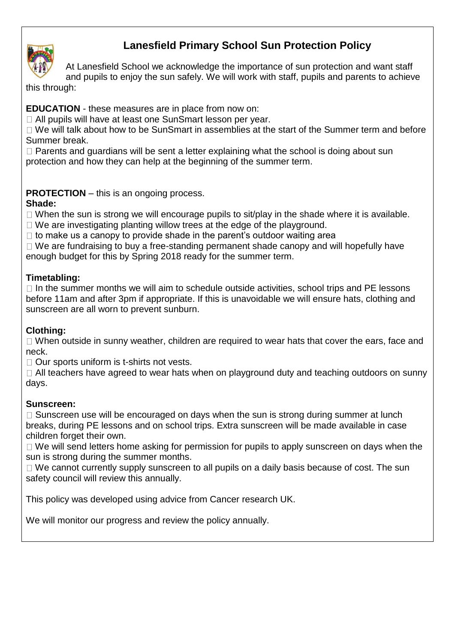

# **Lanesfield Primary School Sun Protection Policy**

At Lanesfield School we acknowledge the importance of sun protection and want staff

and pupils to enjoy the sun safely. We will work with staff, pupils and parents to achieve this through:

## **EDUCATION** - these measures are in place from now on:

□ All pupils will have at least one SunSmart lesson per year.

□ We will talk about how to be SunSmart in assemblies at the start of the Summer term and before Summer break.

 $\Box$  Parents and guardians will be sent a letter explaining what the school is doing about sun protection and how they can help at the beginning of the summer term.

## **PROTECTION** – this is an ongoing process.

#### **Shade:**

 $\Box$  When the sun is strong we will encourage pupils to sit/play in the shade where it is available.

 $\Box$  We are investigating planting willow trees at the edge of the playground.

 $\Box$  to make us a canopy to provide shade in the parent's outdoor waiting area

 $\Box$  We are fundraising to buy a free-standing permanent shade canopy and will hopefully have enough budget for this by Spring 2018 ready for the summer term.

## **Timetabling:**

 $\Box$  In the summer months we will aim to schedule outside activities, school trips and PE lessons before 11am and after 3pm if appropriate. If this is unavoidable we will ensure hats, clothing and sunscreen are all worn to prevent sunburn.

#### **Clothing:**

 $\Box$  When outside in sunny weather, children are required to wear hats that cover the ears, face and neck.

 $\Box$  Our sports uniform is t-shirts not vests.

 $\Box$  All teachers have agreed to wear hats when on playground duty and teaching outdoors on sunny days.

#### **Sunscreen:**

 $\Box$  Sunscreen use will be encouraged on days when the sun is strong during summer at lunch breaks, during PE lessons and on school trips. Extra sunscreen will be made available in case children forget their own.

 $\Box$  We will send letters home asking for permission for pupils to apply sunscreen on days when the sun is strong during the summer months.

 $\Box$  We cannot currently supply sunscreen to all pupils on a daily basis because of cost. The sun safety council will review this annually.

This policy was developed using advice from Cancer research UK.

We will monitor our progress and review the policy annually.